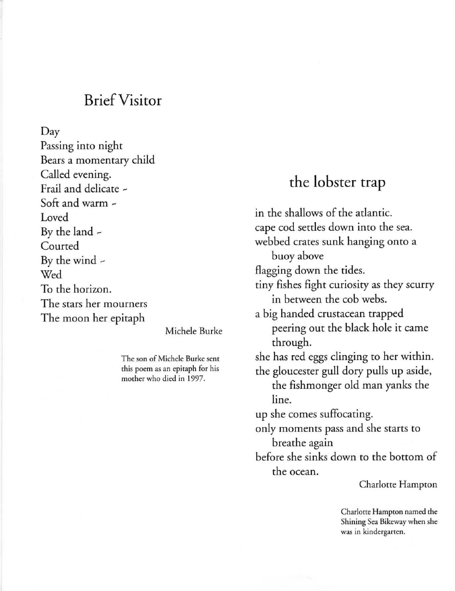## Brief Visitor

Day

Passing inro night Bears a momenrary child Called evening. Frail and delicate - Soft and warm  $\approx$ Loved By the land - Courted By the wind  $-$ Wed To the horizon. The stars her mourners The moon her epitaph

Michele Burke

**The son of Michele Burke sem chis poem as an epitaph for his**  mother who died **in 1997.** 

## **the lobster trap**

in the shallows of the atlantic. cape cod settles down into the sea. webbed crates sunk hanging onro a buoy above flagging down the tides. tiny fishes fight curiosiry as they scurry in between the cob webs. a big handed crustacean trapped peering out the black hole it came through. she has red eggs clinging ro her within. the gloucester gull dory pulls up aside, the fishmonger old man yanks the line. up she comes suffocating. only moments pass and she starts to breathe again before she sinks down to the bottom of the ocean.

Charlotte Hampton

**Charlotte Hampton named the Shining Sea Bikeway when she was in kindergarten.**